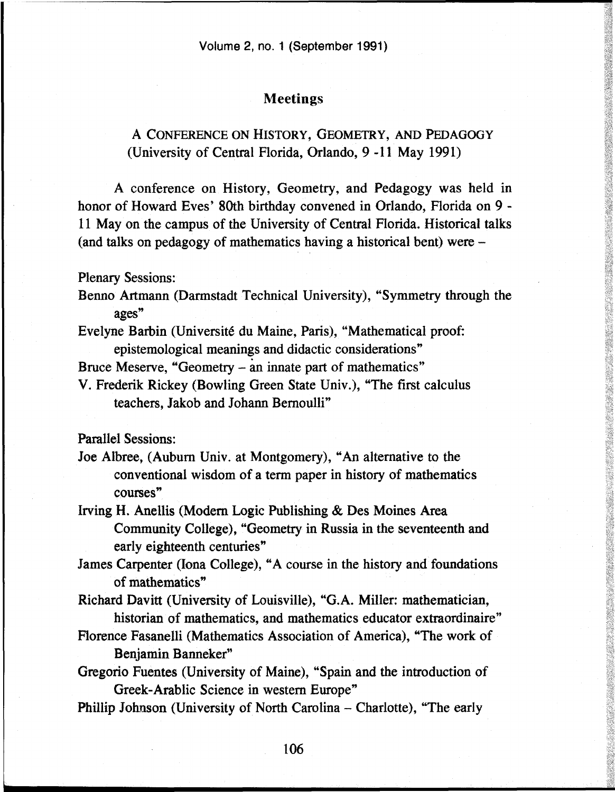## Meetings

## A CONFERENCE ON HISTORY, GEOMETRY, AND PEDAGOGY (University of Central Florida, Orlando, 9 -11 May 1991)

A conference on History, Geometry, and Pedagogy was held in honor of Howard Eves' 80th birthday convened in Orlando, Florida on 9 - 11 May on the campus of the University of Central Florida. Historical talks (and talks on pedagogy of mathematics having a historical bent) were -

## Plenary Sessions:

- Benno Artmann (Darmstadt Technical University), "Symmetry through the ages"
- Evelyne Barbin (Université du Maine, Paris), "Mathematical proof: epistemological meanings and didactic considerations"

Bruce Meserve, "Geometry - an innate part of mathematics"

V. Frederik Rickey (Bowling Green State Univ.), "The first calculus teachers, Jakob and Johann Bernoulli"

Parallel Sessions:

- Joe Albree, (Auburn Univ. at Montgomery), "An alternative to the conventional wisdom of a term paper in history of mathematics courses"
- Irving H. Anellis (Modern Logic Publishing & Des Moines Area Community College), "Geometry in Russia in the seventeenth and early eighteenth centuries"
- James Carpenter (lona College), "A course in the history and foundations of mathematics"
- Richard Davitt (University of Louisville), "G.A. Miller: mathematician, historian of mathematics, and mathematics educator extraordinaire"
- Florence Fasanelli (Mathematics Association of America), "The work of Benjamin Banneker"
- Gregorio Fuentes (University of Maine), "Spain and the introduction of Greek-Arablic Science in western Europe"
- Phillip Johnson (University of North Carolina Charlotte), "The early